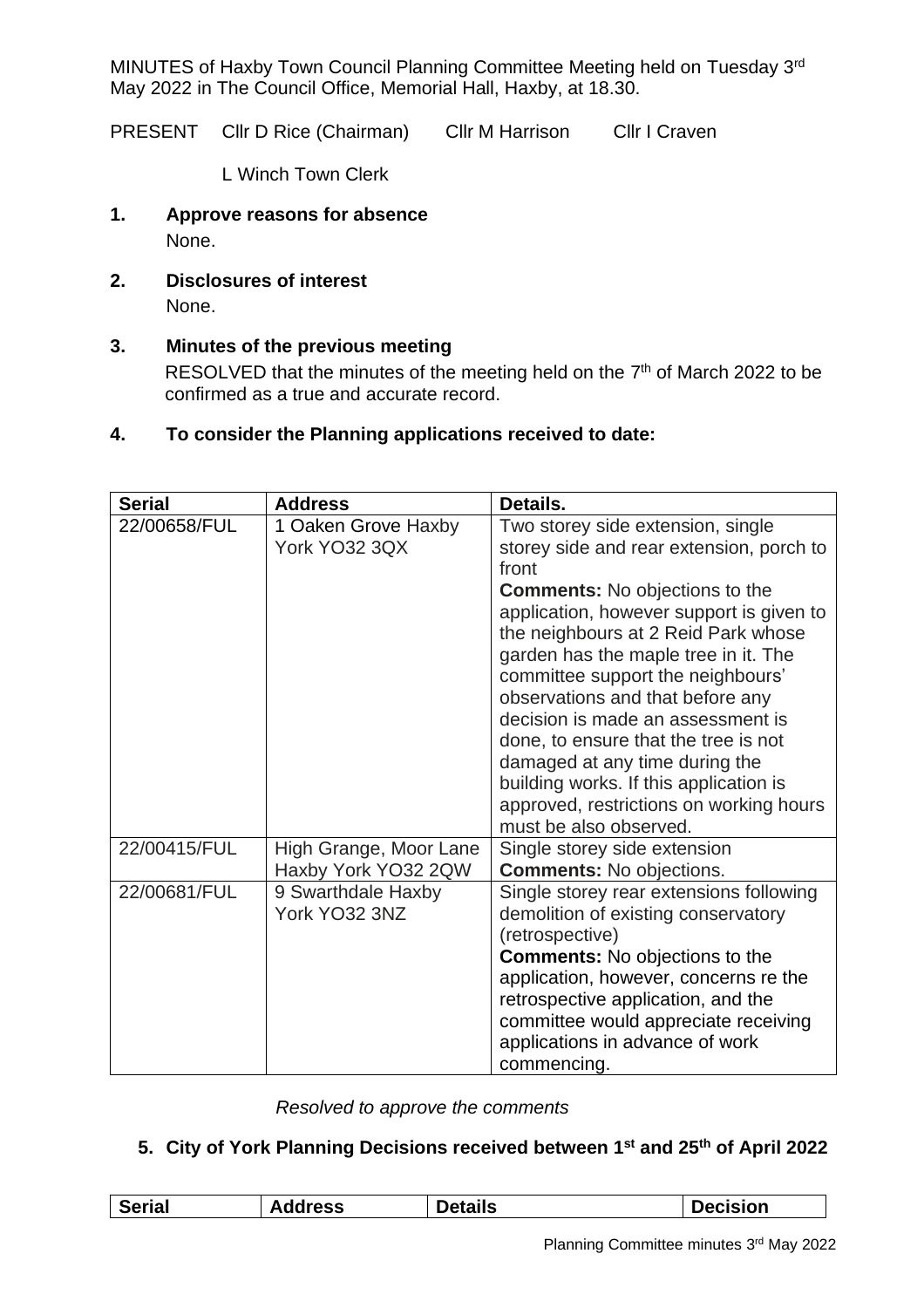MINUTES of Haxby Town Council Planning Committee Meeting held on Tuesday 3rd May 2022 in The Council Office, Memorial Hall, Haxby, at 18.30.

PRESENT Cllr D Rice (Chairman) Cllr M Harrison Cllr I Craven

L Winch Town Clerk

- **1. Approve reasons for absence** None.
- **2. Disclosures of interest**

None.

# **3. Minutes of the previous meeting**

RESOLVED that the minutes of the meeting held on the 7<sup>th</sup> of March 2022 to be confirmed as a true and accurate record.

## **4. To consider the Planning applications received to date:**

| <b>Serial</b> | <b>Address</b>                                | Details.                                                                                                                                                                                                                                                                                                            |
|---------------|-----------------------------------------------|---------------------------------------------------------------------------------------------------------------------------------------------------------------------------------------------------------------------------------------------------------------------------------------------------------------------|
| 22/00658/FUL  | 1 Oaken Grove Haxby<br>York YO32 3QX          | Two storey side extension, single<br>storey side and rear extension, porch to<br>front<br><b>Comments:</b> No objections to the<br>application, however support is given to<br>the neighbours at 2 Reid Park whose<br>garden has the maple tree in it. The                                                          |
|               |                                               | committee support the neighbours'<br>observations and that before any<br>decision is made an assessment is<br>done, to ensure that the tree is not<br>damaged at any time during the<br>building works. If this application is<br>approved, restrictions on working hours<br>must be also observed.                 |
| 22/00415/FUL  | High Grange, Moor Lane<br>Haxby York YO32 2QW | Single storey side extension<br><b>Comments: No objections.</b>                                                                                                                                                                                                                                                     |
| 22/00681/FUL  | 9 Swarthdale Haxby<br>York YO32 3NZ           | Single storey rear extensions following<br>demolition of existing conservatory<br>(retrospective)<br><b>Comments:</b> No objections to the<br>application, however, concerns re the<br>retrospective application, and the<br>committee would appreciate receiving<br>applications in advance of work<br>commencing. |

*Resolved to approve the comments* 

## **5. City of York Planning Decisions received between 1st and 25th of April 2022**

| <b>Serial</b> | <b>Address</b> | <b>Details</b> | <b>Decision</b> |
|---------------|----------------|----------------|-----------------|
|               |                |                |                 |